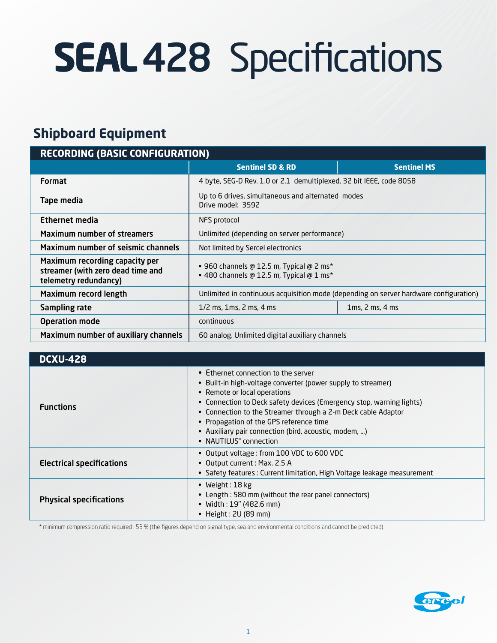# **SEAL**428 Specifications

## **Shipboard Equipment**

| <b>RECORDING (BASIC CONFIGURATION)</b>                                                       |                                                                                              |                    |
|----------------------------------------------------------------------------------------------|----------------------------------------------------------------------------------------------|--------------------|
|                                                                                              | <b>Sentinel SD &amp; RD</b>                                                                  | <b>Sentinel MS</b> |
| <b>Format</b>                                                                                | 4 byte, SEG-D Rev. 1.0 or 2.1 demultiplexed, 32 bit IEEE, code 8058                          |                    |
| Tape media                                                                                   | Up to 6 drives, simultaneous and alternated modes<br>Drive model: 3592                       |                    |
| <b>Ethernet media</b>                                                                        | NFS protocol                                                                                 |                    |
| <b>Maximum number of streamers</b>                                                           | Unlimited (depending on server performance)                                                  |                    |
| <b>Maximum number of seismic channels</b>                                                    | Not limited by Sercel electronics                                                            |                    |
| Maximum recording capacity per<br>streamer (with zero dead time and<br>telemetry redundancy) | • 960 channels @ 12.5 m, Typical @ 2 ms*<br>$\bullet$ 480 channels @ 12.5 m, Typical @ 1 ms* |                    |
| Maximum record length                                                                        | Unlimited in continuous acquisition mode (depending on server hardware configuration)        |                    |
| Sampling rate                                                                                | $1/2$ ms, $1$ ms, $2$ ms, $4$ ms                                                             | 1ms, 2 ms, 4 ms    |
| <b>Operation mode</b>                                                                        | continuous                                                                                   |                    |
| Maximum number of auxiliary channels                                                         | 60 analog. Unlimited digital auxiliary channels                                              |                    |

| <b>DCXU-428</b>                  |                                                                                                                                                                                                                                                                                                                                                                                                            |
|----------------------------------|------------------------------------------------------------------------------------------------------------------------------------------------------------------------------------------------------------------------------------------------------------------------------------------------------------------------------------------------------------------------------------------------------------|
| <b>Functions</b>                 | • Ethernet connection to the server<br>• Built-in high-voltage converter (power supply to streamer)<br>• Remote or local operations<br>• Connection to Deck safety devices (Emergency stop, warning lights)<br>• Connection to the Streamer through a 2-m Deck cable Adaptor<br>• Propagation of the GPS reference time<br>• Auxiliary pair connection (bird, acoustic, modem, )<br>• NAUTILUS® connection |
| <b>Electrical specifications</b> | • Output voltage: from 100 VDC to 600 VDC<br>• Output current : Max. 2.5 A<br>• Safety features: Current limitation, High Voltage leakage measurement                                                                                                                                                                                                                                                      |
| <b>Physical specifications</b>   | • Weight: $18$ kg<br>• Length: 580 mm (without the rear panel connectors)<br>• Width: 19" (482.6 mm)<br>• Height : $2U(89$ mm)                                                                                                                                                                                                                                                                             |

\* minimum compression ratio required : 53 % (the figures depend on signal type, sea and environmental conditions and cannot be predicted)

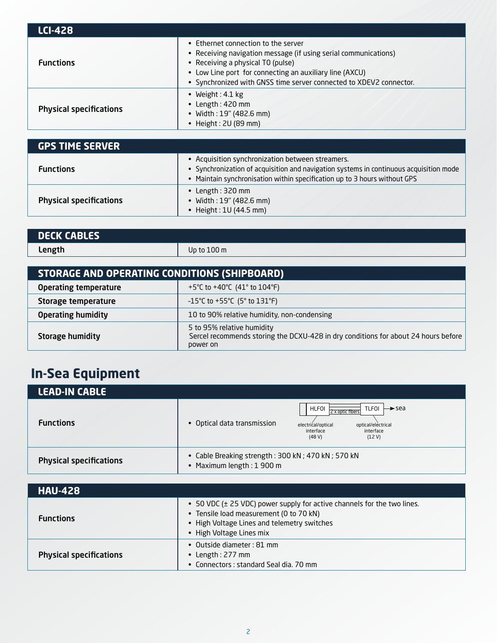| <b>LCI-428</b>                 |                                                                                                                                                                                                                                                                              |
|--------------------------------|------------------------------------------------------------------------------------------------------------------------------------------------------------------------------------------------------------------------------------------------------------------------------|
| <b>Functions</b>               | • Ethernet connection to the server<br>• Receiving navigation message (if using serial communications)<br>• Receiving a physical TO (pulse)<br>• Low Line port for connecting an auxiliary line (AXCU)<br>• Synchronized with GNSS time server connected to XDEV2 connector. |
| <b>Physical specifications</b> | • Weight: $4.1 \text{ kg}$<br>$\bullet$ Length: 420 mm<br>• Width: 19" (482.6 mm)<br>Height: 2U (89 mm)                                                                                                                                                                      |

| <b>GPS TIME SERVER</b>         |                                                                                                                                                                                                                         |
|--------------------------------|-------------------------------------------------------------------------------------------------------------------------------------------------------------------------------------------------------------------------|
| <b>Functions</b>               | • Acquisition synchronization between streamers.<br>• Synchronization of acquisition and navigation systems in continuous acquisition mode<br>• Maintain synchronisation within specification up to 3 hours without GPS |
| <b>Physical specifications</b> | • Length: $320$ mm<br>• Width: 19" (482.6 mm)<br>• Height: $1U(44.5 \text{ mm})$                                                                                                                                        |

| Up to $100 \text{ m}$ | <b>DECK CABLES</b> |  |
|-----------------------|--------------------|--|
|                       | Length             |  |

| STORAGE AND OPERATING CONDITIONS (SHIPBOARD) |                                                                                                                              |  |
|----------------------------------------------|------------------------------------------------------------------------------------------------------------------------------|--|
| <b>Operating temperature</b>                 | +5°C to +40°C $(41°$ to 104°F)                                                                                               |  |
| Storage temperature                          | -15°C to +55°C (5° to 131°F)                                                                                                 |  |
| <b>Operating humidity</b>                    | 10 to 90% relative humidity, non-condensing                                                                                  |  |
| <b>Storage humidity</b>                      | 5 to 95% relative humidity<br>Sercel recommends storing the DCXU-428 in dry conditions for about 24 hours before<br>power on |  |

## **In-Sea Equipment**

| <b>LEAD-IN CABLE</b>           |                                                                                |                                                                                                                                       |
|--------------------------------|--------------------------------------------------------------------------------|---------------------------------------------------------------------------------------------------------------------------------------|
| <b>Functions</b>               | • Optical data transmission                                                    | HLFOI<br>TLFOI<br>→ sea<br>2 x optic fibers<br>optical/electrical<br>electrical/optical<br>interface<br>interface<br>(12 V)<br>(48 V) |
| <b>Physical specifications</b> | • Cable Breaking strength: 300 kN; 470 kN; 570 kN<br>• Maximum length: 1 900 m |                                                                                                                                       |
|                                |                                                                                |                                                                                                                                       |

| <b>HAU-428</b>                 |                                                                                                                                                                                               |
|--------------------------------|-----------------------------------------------------------------------------------------------------------------------------------------------------------------------------------------------|
| <b>Functions</b>               | • 50 VDC (± 25 VDC) power supply for active channels for the two lines.<br>• Tensile load measurement (0 to 70 kN)<br>• High Voltage Lines and telemetry switches<br>• High Voltage Lines mix |
| <b>Physical specifications</b> | • Outside diameter: 81 mm<br>• Length: $277$ mm<br>• Connectors: standard Seal dia, 70 mm                                                                                                     |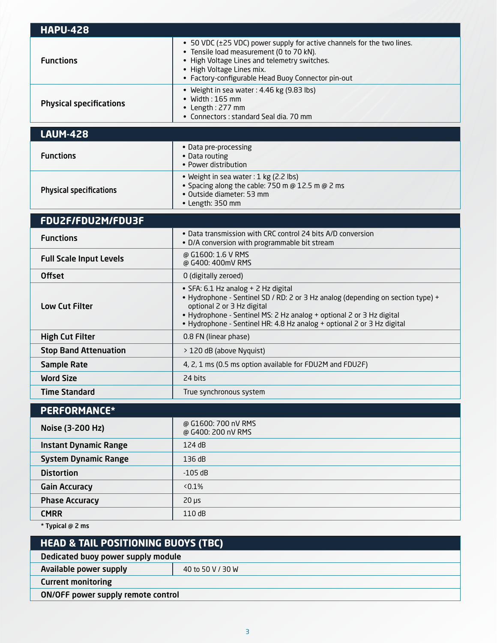| <b>HAPU-428</b>                                |                                                                                                                                                                                                                                                                                                        |  |
|------------------------------------------------|--------------------------------------------------------------------------------------------------------------------------------------------------------------------------------------------------------------------------------------------------------------------------------------------------------|--|
| <b>Functions</b>                               | • 50 VDC (±25 VDC) power supply for active channels for the two lines.<br>• Tensile load measurement (0 to 70 kN).<br>• High Voltage Lines and telemetry switches.<br>• High Voltage Lines mix.<br>• Factory-configurable Head Buoy Connector pin-out                                                  |  |
| <b>Physical specifications</b>                 | • Weight in sea water: 4.46 kg (9.83 lbs)<br>$\bullet$ Width: 165 mm<br>• Length: 277 mm<br>• Connectors : standard Seal dia, 70 mm                                                                                                                                                                    |  |
| <b>LAUM-428</b>                                |                                                                                                                                                                                                                                                                                                        |  |
| <b>Functions</b>                               | • Data pre-processing<br>• Data routing<br>• Power distribution                                                                                                                                                                                                                                        |  |
| <b>Physical specifications</b>                 | • Weight in sea water: 1 kg (2.2 lbs)<br>• Spacing along the cable: 750 m @ 12.5 m @ 2 ms<br>• Outside diameter: 53 mm<br>• Length: 350 mm                                                                                                                                                             |  |
| FDU2F/FDU2M/FDU3F                              |                                                                                                                                                                                                                                                                                                        |  |
| <b>Functions</b>                               | • Data transmission with CRC control 24 bits A/D conversion<br>• D/A conversion with programmable bit stream                                                                                                                                                                                           |  |
| <b>Full Scale Input Levels</b>                 | @ G1600: 1.6 V RMS<br>@ G400: 400mV RMS                                                                                                                                                                                                                                                                |  |
| <b>Offset</b>                                  | 0 (digitally zeroed)                                                                                                                                                                                                                                                                                   |  |
| <b>Low Cut Filter</b>                          | • SFA: 6.1 Hz analog + 2 Hz digital<br>• Hydrophone - Sentinel SD / RD: 2 or 3 Hz analog (depending on section type) +<br>optional 2 or 3 Hz digital<br>• Hydrophone - Sentinel MS: 2 Hz analog + optional 2 or 3 Hz digital<br>• Hydrophone - Sentinel HR: 4.8 Hz analog + optional 2 or 3 Hz digital |  |
| <b>High Cut Filter</b>                         | 0.8 FN (linear phase)                                                                                                                                                                                                                                                                                  |  |
| <b>Stop Band Attenuation</b>                   | > 120 dB (above Nyquist)                                                                                                                                                                                                                                                                               |  |
| <b>Sample Rate</b>                             | 4, 2, 1 ms (0.5 ms option available for FDU2M and FDU2F)                                                                                                                                                                                                                                               |  |
| <b>Word Size</b>                               | 24 bits                                                                                                                                                                                                                                                                                                |  |
| <b>Time Standard</b>                           | True synchronous system                                                                                                                                                                                                                                                                                |  |
| PERFORMANCE*                                   |                                                                                                                                                                                                                                                                                                        |  |
| Noise (3-200 Hz)                               | @ G1600: 700 nV RMS<br>@ G400: 200 nV RMS                                                                                                                                                                                                                                                              |  |
| <b>Instant Dynamic Range</b>                   | 124 dB                                                                                                                                                                                                                                                                                                 |  |
| <b>System Dynamic Range</b>                    | 136 dB                                                                                                                                                                                                                                                                                                 |  |
| <b>Distortion</b>                              | $-105$ dB                                                                                                                                                                                                                                                                                              |  |
| <b>Gain Accuracy</b>                           | $< 0.1\%$                                                                                                                                                                                                                                                                                              |  |
| <b>Phase Accuracy</b>                          | $20 \mu s$                                                                                                                                                                                                                                                                                             |  |
| <b>CMRR</b>                                    | 110 dB                                                                                                                                                                                                                                                                                                 |  |
| * Typical @ 2 ms                               |                                                                                                                                                                                                                                                                                                        |  |
| <b>HEAD &amp; TAIL POSITIONING BUOYS (TBC)</b> |                                                                                                                                                                                                                                                                                                        |  |
| Dedicated buoy power supply module             |                                                                                                                                                                                                                                                                                                        |  |
| Available power supply                         | 40 to 50 V / 30 W                                                                                                                                                                                                                                                                                      |  |

Current monitoring

ON/OFF power supply remote control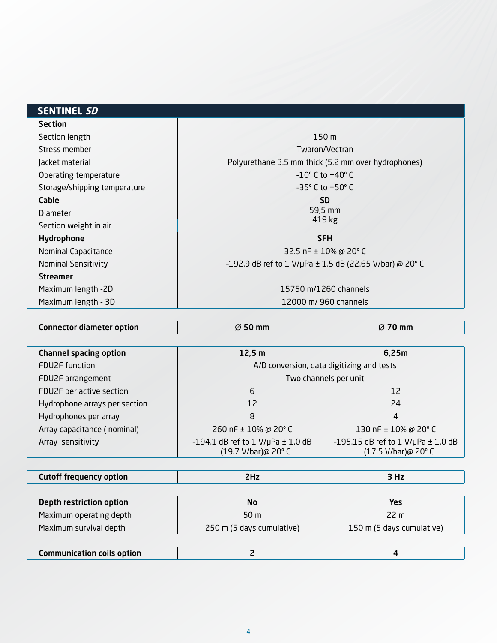| <b>SENTINEL SD</b>           |                                                             |
|------------------------------|-------------------------------------------------------------|
| <b>Section</b>               |                                                             |
| Section length               | 150 <sub>m</sub>                                            |
| Stress member                | Twaron/Vectran                                              |
| Jacket material              | Polyurethane 3.5 mm thick (5.2 mm over hydrophones)         |
| Operating temperature        | $-10^{\circ}$ C to $+40^{\circ}$ C                          |
| Storage/shipping temperature | $-35^{\circ}$ C to $+50^{\circ}$ C                          |
| Cable                        | <b>SD</b>                                                   |
| <b>Diameter</b>              | 59,5 mm                                                     |
| Section weight in air        | 419 kg                                                      |
| Hydrophone                   | <b>SFH</b>                                                  |
| Nominal Capacitance          | 32.5 nF $\pm$ 10% @ 20° C                                   |
| <b>Nominal Sensitivity</b>   | -192.9 dB ref to 1 V/µPa $\pm$ 1.5 dB (22.65 V/bar) @ 20° C |
| <b>Streamer</b>              |                                                             |
| Maximum length -2D           | 15750 m/1260 channels                                       |
| Maximum length - 3D          | 12000 m/ 960 channels                                       |
|                              |                                                             |

| <b>Channel spacing option</b> | 12,5 m                                                          | 6,25m                                                         |
|-------------------------------|-----------------------------------------------------------------|---------------------------------------------------------------|
| <b>FDU2F</b> function         | A/D conversion, data digitizing and tests                       |                                                               |
| FDU2F arrangement             | Two channels per unit                                           |                                                               |
| FDU2F per active section      | 6                                                               | 12                                                            |
| Hydrophone arrays per section | 12                                                              | 24                                                            |
| Hydrophones per array         | 8                                                               | 4                                                             |
| Array capacitance (nominal)   | 260 nF ± 10% @ 20° C                                            | 130 nF ± 10% @ 20° C                                          |
| Array sensitivity             | $-194.1$ dB ref to $1$ V/µPa $\pm$ 1.0 dB<br>(19.7 V/bar)@ 20°C | -195.15 dB ref to 1 V/µPa $\pm$ 1.0 dB<br>(17.5 V/bar)@ 20° C |

Connector diameter option Ø 50 mm Ø 70 mm

| <b>Cutoff frequency option</b> | 2Hz                       | 3 Hz                      |
|--------------------------------|---------------------------|---------------------------|
|                                |                           |                           |
| Depth restriction option       | <b>No</b>                 | Yes                       |
| Maximum operating depth        | 50 <sub>m</sub>           | 22 m                      |
| Maximum survival depth         | 250 m (5 days cumulative) | 150 m (5 days cumulative) |
|                                |                           |                           |
|                                |                           |                           |

|--|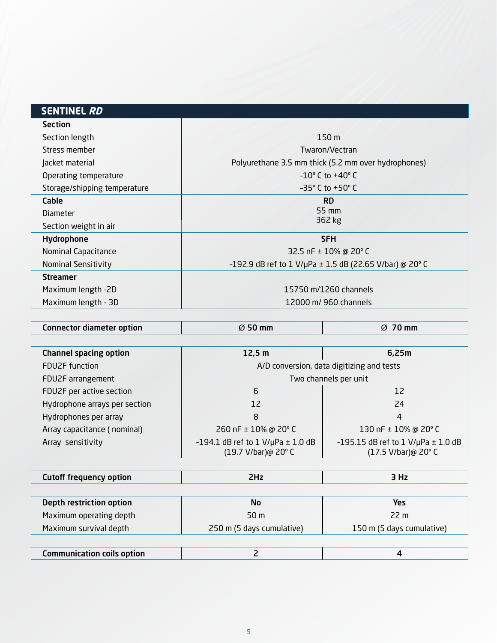| <b>SENTINEL RD</b>           |                                                         |
|------------------------------|---------------------------------------------------------|
| <b>Section</b>               |                                                         |
| Section length               | 150 <sub>m</sub>                                        |
| Stress member                | Twaron/Vectran                                          |
| Jacket material              | Polyurethane 3.5 mm thick (5.2 mm over hydrophones)     |
| Operating temperature        | $-10^{\circ}$ C to $+40^{\circ}$ C                      |
| Storage/shipping temperature | $-35^{\circ}$ C to $+50^{\circ}$ C                      |
| Cable                        | <b>RD</b>                                               |
| <b>Diameter</b>              | $55 \text{ mm}$                                         |
| Section weight in air        | 362 kg                                                  |
| Hydrophone                   | <b>SFH</b>                                              |
| Nominal Capacitance          | 32.5 nF $\pm$ 10% @ 20° C                               |
| <b>Nominal Sensitivity</b>   | -192.9 dB ref to 1 V/µPa ± 1.5 dB (22.65 V/bar) @ 20° C |
| <b>Streamer</b>              |                                                         |
| Maximum length -2D           | 15750 m/1260 channels                                   |
| Maximum length - 3D          | 12000 m/ 960 channels                                   |
|                              |                                                         |

| Connector diameter option | $\varnothing$ 50 mm | 70 mm<br>Ø |
|---------------------------|---------------------|------------|
|                           |                     |            |

| <b>Channel spacing option</b> | 12,5 m                                                          | 6,25m                                                        |
|-------------------------------|-----------------------------------------------------------------|--------------------------------------------------------------|
| <b>FDU2F</b> function         |                                                                 | A/D conversion, data digitizing and tests                    |
| FDU2F arrangement             | Two channels per unit                                           |                                                              |
| FDU2F per active section      | 6                                                               | 12                                                           |
| Hydrophone arrays per section | 12                                                              | 24                                                           |
| Hydrophones per array         | 8                                                               | 4                                                            |
| Array capacitance (nominal)   | 260 nF ± 10% @ 20° C                                            | 130 nF ± 10% @ 20° C                                         |
| Array sensitivity             | $-194.1$ dB ref to $1$ V/µPa $\pm$ 1.0 dB<br>(19.7 V/bar)@ 20°C | -195.15 dB ref to 1 V/µPa $\pm$ 1.0 dB<br>(17.5 V/bar)@ 20°C |

| Cutoff frequency option |  |  |
|-------------------------|--|--|
|-------------------------|--|--|

| Depth restriction option | No                        | Yes                       |
|--------------------------|---------------------------|---------------------------|
| Maximum operating depth  | 50 m                      | 22 m                      |
| Maximum survival depth   | 250 m (5 days cumulative) | 150 m (5 days cumulative) |
|                          |                           |                           |
|                          |                           |                           |

| $\small \sf{Communication}$ coils option $\small \vdots$ |  |
|----------------------------------------------------------|--|
|                                                          |  |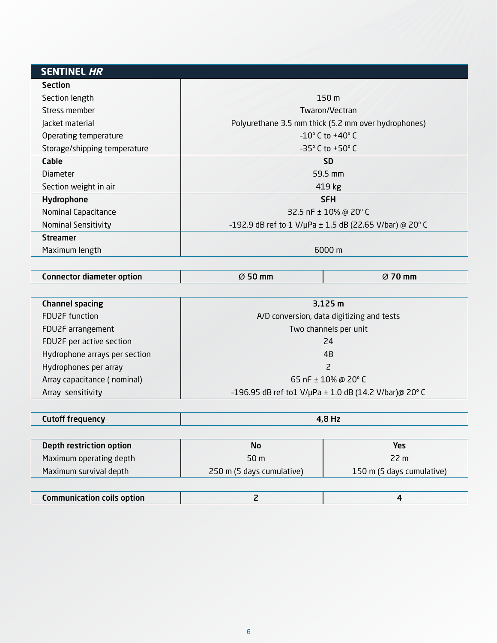| <b>SENTINEL HR</b>           |                                                             |
|------------------------------|-------------------------------------------------------------|
| <b>Section</b>               |                                                             |
| Section length               | 150 <sub>m</sub>                                            |
| Stress member                | Twaron/Vectran                                              |
| Jacket material              | Polyurethane 3.5 mm thick (5.2 mm over hydrophones)         |
| Operating temperature        | $-10^{\circ}$ C to $+40^{\circ}$ C                          |
| Storage/shipping temperature | $-35^{\circ}$ C to $+50^{\circ}$ C                          |
| Cable                        | <b>SD</b>                                                   |
| <b>Diameter</b>              | 59.5 mm                                                     |
| Section weight in air        | 419 kg                                                      |
| Hydrophone                   | <b>SFH</b>                                                  |
| Nominal Capacitance          | 32.5 nF $\pm$ 10% @ 20° C                                   |
| <b>Nominal Sensitivity</b>   | -192.9 dB ref to 1 V/µPa $\pm$ 1.5 dB (22.65 V/bar) @ 20° C |
| <b>Streamer</b>              |                                                             |
| Maximum length               | 6000 m                                                      |

| <b>Connector diameter option</b> | $\varnothing$ 50 mm | $\varnothing$ 70 mm |
|----------------------------------|---------------------|---------------------|
|                                  |                     |                     |

| <b>Channel spacing</b>        | 3,125 m                                               |  |
|-------------------------------|-------------------------------------------------------|--|
| <b>FDU2F</b> function         | A/D conversion, data digitizing and tests             |  |
| FDU2F arrangement             | Two channels per unit                                 |  |
| FDU2F per active section      | 24                                                    |  |
| Hydrophone arrays per section | 48                                                    |  |
| Hydrophones per array         | 2                                                     |  |
| Array capacitance (nominal)   | 65 nF $\pm$ 10% @ 20° C                               |  |
| Array sensitivity             | -196.95 dB ref to1 V/µPa ± 1.0 dB (14.2 V/bar)@ 20° C |  |

| <b>Cutoff frequency</b> | 4,8 Hz |
|-------------------------|--------|
|                         |        |

| Depth restriction option | <b>No</b>                 | Yes                       |
|--------------------------|---------------------------|---------------------------|
| Maximum operating depth  | 50 m                      | 22 m                      |
| Maximum survival depth   | 250 m (5 days cumulative) | 150 m (5 days cumulative) |
|                          |                           |                           |

| <b>Communication coils option</b> |  |  |
|-----------------------------------|--|--|
|-----------------------------------|--|--|